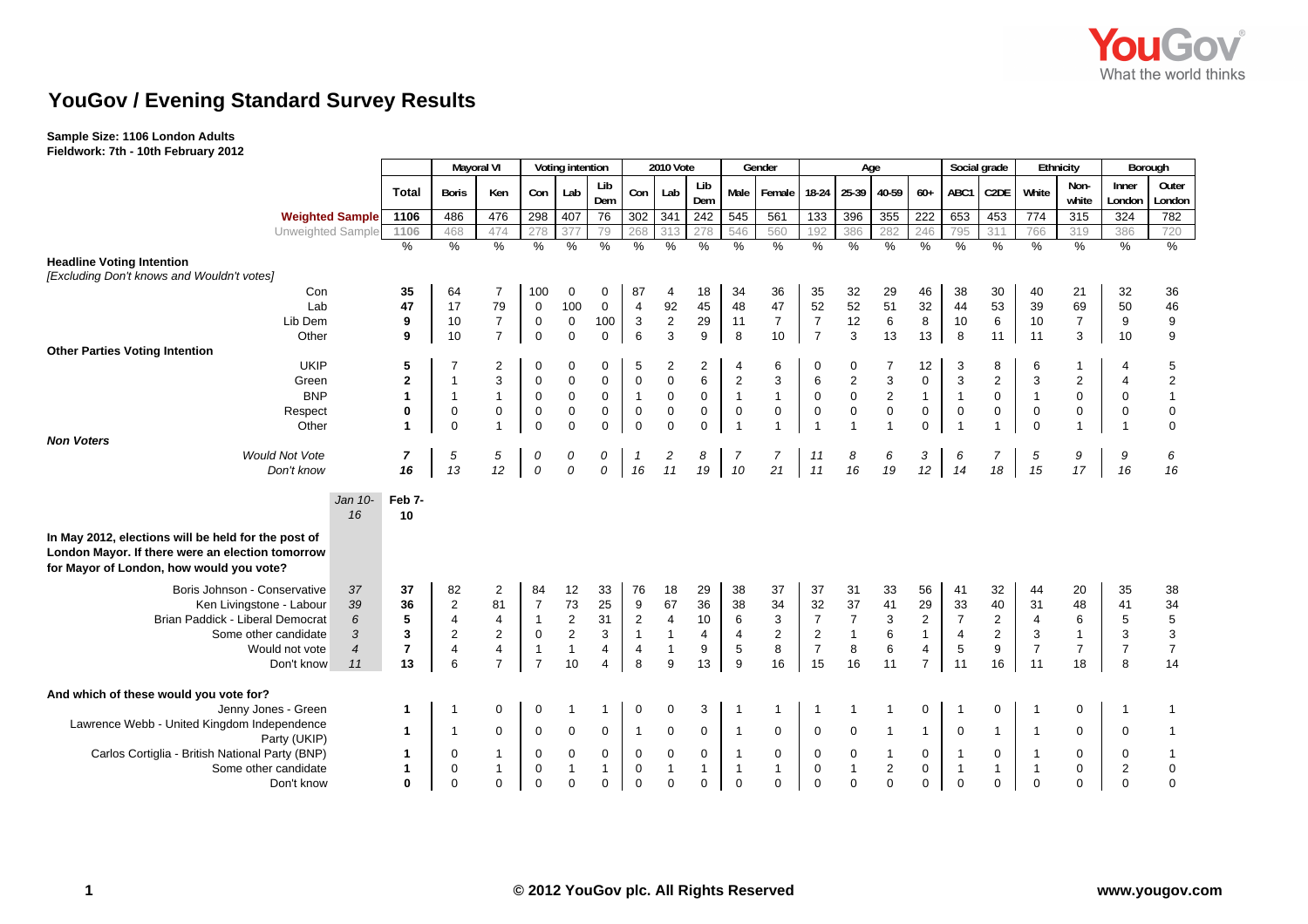

# **YouGov / Evening Standard Survey Results**

### **Sample Size: 1106 London Adults Fieldwork: 7th - 10th February 2012**

| 1 Teluwol K. 7 (11 - 10 (11 February 2012                                                                                                           |                |                |                            |                         |                          |                               |                  |                          |                                    |                         |                             |                             |                |                     |                           |                          |                |                   |                          |                             |                 |                                       |
|-----------------------------------------------------------------------------------------------------------------------------------------------------|----------------|----------------|----------------------------|-------------------------|--------------------------|-------------------------------|------------------|--------------------------|------------------------------------|-------------------------|-----------------------------|-----------------------------|----------------|---------------------|---------------------------|--------------------------|----------------|-------------------|--------------------------|-----------------------------|-----------------|---------------------------------------|
|                                                                                                                                                     |                |                | <b>Mayoral VI</b>          |                         |                          | Voting intention              |                  |                          | 2010 Vote                          |                         |                             | Gender                      |                |                     | Age                       |                          |                | Social grade      | Ethnicity                |                             | Borough         |                                       |
|                                                                                                                                                     |                | <b>Total</b>   | <b>Boris</b>               | Ken                     | Con                      | Lab                           | Lib<br>Dem       | Con                      | Lab                                | Lib<br>Dem              | Male                        | Female                      | $18-24$        | 25-39               | 40-59                     | $60+$                    | ABC1           | C <sub>2</sub> DE | White                    | Non-<br>white               | Inner<br>London | Outer<br>London                       |
| <b>Weighted Sample</b>                                                                                                                              |                | 1106           | 486                        | 476                     | 298                      | 407                           | 76               | 302 341                  |                                    | 242                     | 545                         | 561                         | 133            | 396                 | 355                       | 222                      | 653            | 453               | 774                      | 315                         | 324             | 782                                   |
| Unweighted Sample                                                                                                                                   |                | 1106           | 468                        | 474                     | 278                      | 377                           | 79               | 268                      | 313                                | 278                     | 546                         | 560                         | 192            | 386                 | 282                       | 246                      | 795            | 311               | 766                      | 319                         | 386             | 720                                   |
|                                                                                                                                                     |                | $\%$           | $\%$                       | %                       | %                        | %                             | %                | %                        | %                                  | %                       | $\frac{0}{6}$               | %                           | %              | %                   | $\frac{0}{6}$             | %                        | %              | $\frac{0}{0}$     | $\frac{9}{6}$            | %                           | %               | $\%$                                  |
| <b>Headline Voting Intention</b>                                                                                                                    |                |                |                            |                         |                          |                               |                  |                          |                                    |                         |                             |                             |                |                     |                           |                          |                |                   |                          |                             |                 |                                       |
| [Excluding Don't knows and Wouldn't votes]                                                                                                          |                |                |                            |                         |                          |                               |                  |                          |                                    |                         |                             |                             |                |                     |                           |                          |                |                   |                          |                             |                 |                                       |
| Con                                                                                                                                                 |                | 35             | 64                         | 7                       | 100                      | 0                             | 0                | 87                       | 4                                  | 18                      | 34                          | 36                          | 35             | 32                  | 29                        | 46                       | 38             | 30                | 40                       | 21                          | 32              | $36\,$                                |
| Lab                                                                                                                                                 |                | 47             | 17                         | 79                      | $\mathbf 0$              | 100                           | 0                | $\overline{4}$           | 92                                 | 45                      | 48                          | 47                          | 52             | 52                  | 51                        | 32                       | 44             | 53                | 39                       | 69                          | 50              | 46                                    |
| Lib Dem                                                                                                                                             |                | 9              | 10                         | $\overline{7}$          | $\mathbf 0$              | 0                             | 100              | $\mathbf{3}$             | $\overline{\mathbf{c}}$            | 29                      | 11                          | $\overline{7}$              | $\overline{7}$ | 12                  | $\,6\,$                   | 8                        | 10             | 6                 | 10                       | $\overline{7}$              | 9               | $\boldsymbol{9}$                      |
| Other                                                                                                                                               |                | 9              | 10                         | $\overline{7}$          | $\mathbf 0$              | $\mathbf 0$                   | $\mathbf 0$      | 6                        | $\overline{3}$                     | 9                       | 8                           | 10                          | $\overline{7}$ | 3                   | 13                        | 13                       | 8              | 11                | 11                       | 3                           | 10              | $\boldsymbol{9}$                      |
| <b>Other Parties Voting Intention</b>                                                                                                               |                |                |                            |                         |                          |                               |                  |                          |                                    |                         |                             |                             |                |                     |                           |                          |                |                   |                          |                             |                 |                                       |
| <b>UKIP</b>                                                                                                                                         |                | 5              |                            | 2                       | 0                        | 0                             | 0                | 5                        | 2                                  | 2                       | 4                           | 6                           | $\mathbf 0$    | 0                   | 7                         | 12                       | 3              | 8                 | 6                        | -1                          |                 | $\overline{5}$                        |
| Green                                                                                                                                               |                | $\mathbf 2$    | $\overline{1}$             | 3                       | $\mathbf 0$              | $\pmb{0}$                     | 0                | $\mathsf 0$              | $\mathsf 0$                        | $\,6\,$                 | $\overline{c}$              | 3                           | 6              | $\mathbf 2$         | $\ensuremath{\mathsf{3}}$ | $\mathbf 0$              | 3              | $\overline{2}$    | 3                        | $\overline{c}$              | $\overline{4}$  | $\begin{array}{c} 2 \\ 1 \end{array}$ |
| <b>BNP</b>                                                                                                                                          |                | $\mathbf{1}$   | $\mathbf{1}$               | $\mathbf{1}$            | $\mathsf 0$              | $\mathbf 0$                   | $\mathbf 0$      | $\overline{1}$           | $\mathsf 0$                        | $\mathbf 0$             | $\mathbf{1}$                | $\mathbf{1}$                | $\mathbf 0$    | $\pmb{0}$           | $\sqrt{2}$                | $\mathbf{1}$             | $\overline{1}$ | $\mathbf 0$       | $\mathbf{1}$             | $\mathsf 0$                 | $\mathbf 0$     |                                       |
| Respect<br>Other                                                                                                                                    |                | 0              | $\mathbf 0$<br>$\mathbf 0$ | $\pmb{0}$               | $\pmb{0}$<br>$\mathbf 0$ | $\mathbf 0$<br>$\overline{0}$ | 0<br>$\mathbf 0$ | $\pmb{0}$<br>$\mathbf 0$ | $\mathsf{O}\xspace$<br>$\mathbf 0$ | $\mathsf 0$<br>$\Omega$ | $\pmb{0}$<br>$\overline{1}$ | $\mathsf 0$<br>$\mathbf{1}$ | $\pmb{0}$      | $\mathsf{O}\xspace$ | $\pmb{0}$                 | $\pmb{0}$<br>$\mathbf 0$ | $\pmb{0}$      | $\mathsf 0$       | $\pmb{0}$<br>$\mathbf 0$ | $\pmb{0}$<br>$\overline{1}$ | $\mathbf 0$     | $\pmb{0}$<br>$\mathbf 0$              |
| <b>Non Voters</b>                                                                                                                                   |                |                |                            |                         |                          |                               |                  |                          |                                    |                         |                             |                             |                |                     |                           |                          |                |                   |                          |                             |                 |                                       |
| <b>Would Not Vote</b>                                                                                                                               |                | $\overline{7}$ | 5                          | 5                       | 0                        | 0                             | 0                |                          | 2                                  | 8                       | 7                           | 7                           | 11             | 8                   | 6                         | 3                        | 6              | $\overline{7}$    | 5                        | 9                           | 9               | 6                                     |
| Don't know                                                                                                                                          |                | 16             | 13                         | 12                      | ${\cal O}$               | $\mathcal{O}$                 | 0                | 16                       | 11                                 | 19                      | 10                          | 21                          | 11             | 16                  | 19                        | 12                       | 14             | 18                | 15                       | 17                          | 16              | 16                                    |
|                                                                                                                                                     |                |                |                            |                         |                          |                               |                  |                          |                                    |                         |                             |                             |                |                     |                           |                          |                |                   |                          |                             |                 |                                       |
|                                                                                                                                                     | Jan 10-<br>16  | Feb 7-<br>10   |                            |                         |                          |                               |                  |                          |                                    |                         |                             |                             |                |                     |                           |                          |                |                   |                          |                             |                 |                                       |
| In May 2012, elections will be held for the post of<br>London Mayor. If there were an election tomorrow<br>for Mayor of London, how would you vote? |                |                |                            |                         |                          |                               |                  |                          |                                    |                         |                             |                             |                |                     |                           |                          |                |                   |                          |                             |                 |                                       |
| Boris Johnson - Conservative                                                                                                                        | 37             | 37             | 82                         | $\overline{2}$          | 84                       | 12                            | 33               | 76                       | 18                                 | 29                      | 38                          | 37                          | 37             | 31                  | 33                        | 56                       | 41             | 32                | 44                       | 20                          | 35              | 38                                    |
| Ken Livingstone - Labour                                                                                                                            | 39             | 36             | $\overline{2}$             | 81                      | $\overline{7}$           | 73                            | 25               | $\boldsymbol{9}$         | 67                                 | 36                      | 38                          | 34                          | 32             | 37                  | 41                        | 29                       | 33             | 40                | 31                       | 48                          | 41              | 34                                    |
| Brian Paddick - Liberal Democrat                                                                                                                    | 6              | 5              | 4                          | $\overline{4}$          | $\mathbf{1}$             | $\sqrt{2}$                    | 31               | $\sqrt{2}$               | $\overline{4}$                     | $10$                    | 6                           | 3                           | $\overline{7}$ | $\overline{7}$      | 3                         | $\sqrt{2}$               | $\overline{7}$ | $\overline{2}$    | $\overline{4}$           | 6                           | $\sqrt{5}$      |                                       |
| Some other candidate                                                                                                                                | 3              | 3              | 2                          | $\overline{2}$          | $\mathsf 0$              | $\mathbf{2}$                  | $\mathbf{3}$     | $\mathbf{1}$             | $\mathbf{1}$                       | $\overline{4}$          | $\overline{4}$              | $\overline{\mathbf{c}}$     | $\overline{2}$ | $\mathbf{1}$        | $\,6\,$                   | $\mathbf{1}$             | $\overline{4}$ | $\overline{2}$    | 3                        | $\mathbf{1}$                | 3               | $\frac{5}{3}$                         |
| Would not vote                                                                                                                                      | $\overline{4}$ | $\overline{7}$ | $\overline{\mathbf{4}}$    | $\overline{\mathbf{4}}$ | $\overline{1}$           | $\mathbf{1}$                  | 4                | 4                        | $\mathbf{1}$                       | $\boldsymbol{9}$        | $\sqrt{5}$                  | 8                           | $\overline{7}$ | 8                   | $\,6\,$                   | $\overline{4}$           | $\,$ 5 $\,$    | $\boldsymbol{9}$  | $\overline{7}$           | $\boldsymbol{7}$            | $\overline{7}$  | $\boldsymbol{7}$                      |
| Don't know                                                                                                                                          | 11             | 13             | 6                          | $\overline{7}$          | $\overline{7}$           | 10                            | 4                | 8                        | 9                                  | 13                      | 9                           | 16                          | 15             | 16                  | 11                        | $\overline{7}$           | 11             | 16                | 11                       | 18                          | 8               | 14                                    |
|                                                                                                                                                     |                |                |                            |                         |                          |                               |                  |                          |                                    |                         |                             |                             |                |                     |                           |                          |                |                   |                          |                             |                 |                                       |
| And which of these would you vote for?                                                                                                              |                |                |                            |                         |                          |                               |                  |                          |                                    |                         |                             |                             |                |                     |                           |                          |                |                   |                          |                             |                 |                                       |
| Jenny Jones - Green                                                                                                                                 |                | 1              |                            | $\mathbf 0$             | $\pmb{0}$                | -1                            | -1               | 0                        | $\mathbf 0$                        | 3                       | -1                          | $\mathbf{1}$                | -1             | 1                   |                           | $\mathbf 0$              |                | $\mathbf 0$       | $\mathbf 1$              | $\mathbf 0$                 |                 | -1                                    |
| Lawrence Webb - United Kingdom Independence                                                                                                         |                | -1             | $\mathbf{1}$               | $\Omega$                | $\mathbf 0$              | $\mathbf 0$                   | 0                | $\mathbf{1}$             | $\mathbf 0$                        | $\mathbf 0$             | $\overline{1}$              | $\mathbf 0$                 | $\mathbf 0$    | $\mathbf 0$         | $\overline{1}$            | $\mathbf{1}$             | $\mathbf 0$    | $\mathbf{1}$      | $\overline{1}$           | $\Omega$                    | $\mathbf 0$     | -1                                    |
| Party (UKIP)                                                                                                                                        |                |                |                            |                         |                          |                               |                  |                          |                                    |                         |                             |                             |                |                     |                           |                          |                |                   |                          |                             |                 |                                       |
| Carlos Cortiglia - British National Party (BNP)                                                                                                     |                | 1              | 0                          | $\mathbf{1}$            | $\pmb{0}$                | $\boldsymbol{0}$              | 0                | 0                        | 0                                  | 0                       | $\overline{1}$              | 0                           | 0              | 0                   | $\mathbf{1}$              | $\mathbf 0$              |                | $\mathbf 0$       | $\mathbf{1}$             | 0                           | 0               | $\overline{1}$                        |
| Some other candidate                                                                                                                                |                | 1              | 0                          | $\mathbf{1}$            | $\pmb{0}$                | $\mathbf{1}$                  | $\mathbf{1}$     | $\mathsf 0$              | $\mathbf{1}$                       | $\mathbf{1}$            | $\overline{1}$              | $\mathbf{1}$                | $\mathbf 0$    | $\mathbf{1}$        | $\sqrt{2}$                | $\mathbf 0$              | $\overline{1}$ | $\mathbf{1}$      | $\mathbf{1}$             | $\mathbf 0$                 | $\overline{c}$  | $\mathbf 0$                           |
| Don't know                                                                                                                                          |                | 0              | $\mathbf 0$                | $\mathbf 0$             | $\mathbf 0$              | $\mathbf 0$                   | 0                | 0                        | $\mathbf 0$                        | $\overline{0}$          | $\mathbf 0$                 | $\mathbf 0$                 | $\mathbf 0$    | 0                   | $\mathbf 0$               | $\mathbf 0$              | $\overline{0}$ | $\mathbf 0$       | $\mathbf 0$              | $\mathbf 0$                 | $\mathbf 0$     | $\boldsymbol{0}$                      |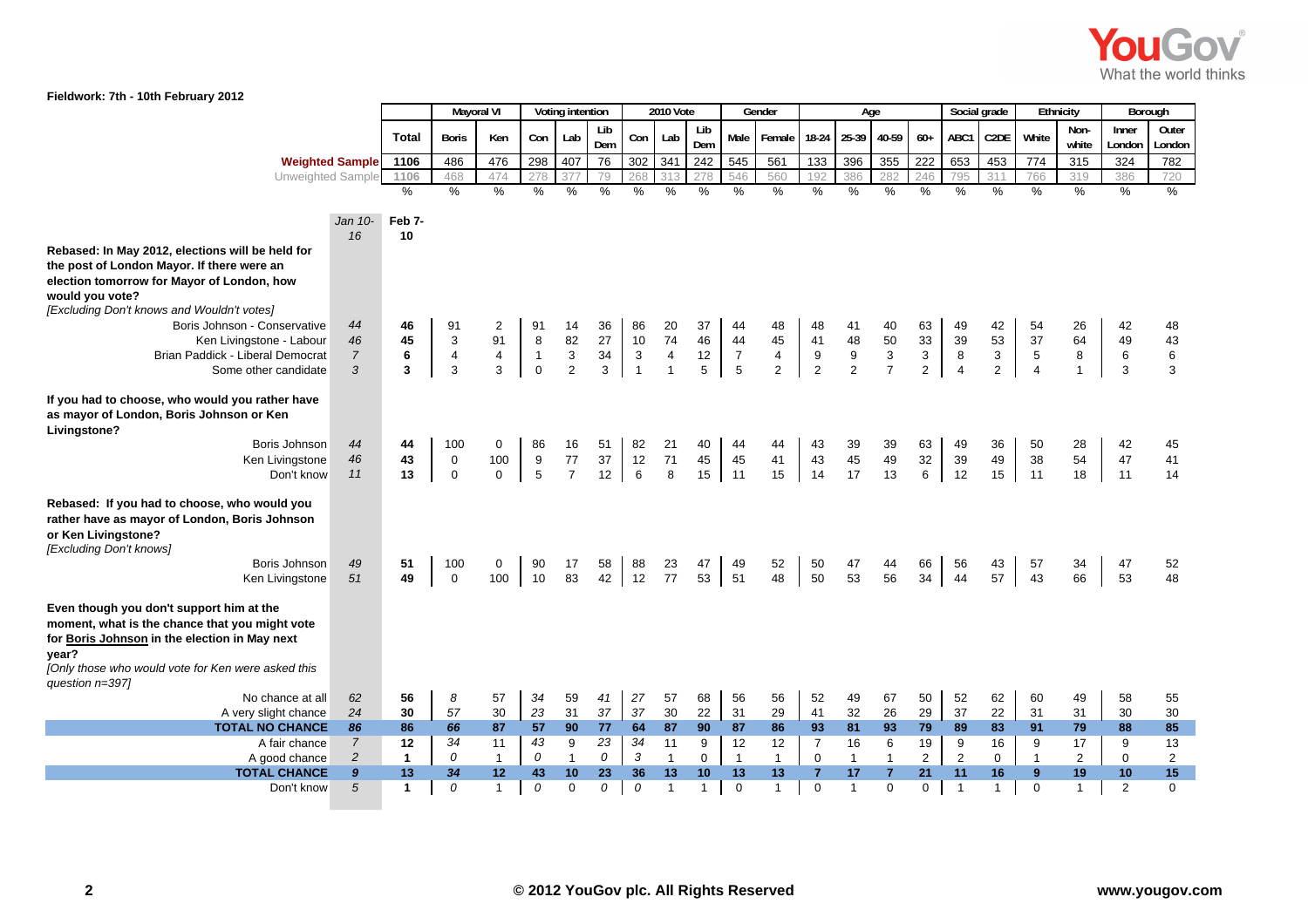

|                                                                                            |                  |                |               | Mayoral VI    |               | Voting intention |                 |                | <b>2010 Vote</b>        |               |                | Gender         |                  |                  | Age                       |                |                | Social grade      |                | Ethnicity      | Borough     |                |
|--------------------------------------------------------------------------------------------|------------------|----------------|---------------|---------------|---------------|------------------|-----------------|----------------|-------------------------|---------------|----------------|----------------|------------------|------------------|---------------------------|----------------|----------------|-------------------|----------------|----------------|-------------|----------------|
|                                                                                            |                  | <b>Total</b>   | <b>Boris</b>  | Ken           | Con           | Lab              | Lib             | Con            | Lab                     | Lib           | Male           | Female         | $18-24$          | 25-39            | 40-59                     | $60+$          | ABC1           | C <sub>2</sub> DE | White          | Non-           | Inner       | Outer          |
|                                                                                            |                  |                |               |               |               |                  | Dem             |                |                         | Dem           |                |                |                  |                  |                           |                |                |                   |                | white          | London      | London         |
| <b>Weighted Sample</b>                                                                     |                  | 1106           | 486           | 476           | 298           | 407              | 76              | 302            | 341                     | 242           | 545            | 561            | 133              | 396              | 355                       | 222            | 653            | 453               | 774            | 315            | 324         | 782            |
| Unweighted Sample                                                                          |                  | 1106           | 468           | 474           | 278           | 377              | 79              | 268            | 313                     | 278           | 546            | 560            | 192              | 386              | 282                       | 246            | 795            | 311               | 766            | 319            | 386         | 720            |
|                                                                                            |                  | $\frac{1}{2}$  | $\frac{9}{6}$ | $\frac{9}{6}$ | $\frac{0}{6}$ | $\frac{1}{2}$    | $\frac{0}{0}$   | $\frac{0}{0}$  | $\%$                    | $\frac{1}{2}$ | $\frac{9}{6}$  | %              | $\%$             | $\%$             | $\frac{9}{6}$             | $\frac{1}{2}$  | $\%$           | $\%$              | $\frac{9}{6}$  | $\frac{0}{0}$  | %           | $\frac{0}{0}$  |
|                                                                                            |                  |                |               |               |               |                  |                 |                |                         |               |                |                |                  |                  |                           |                |                |                   |                |                |             |                |
|                                                                                            | $Jan 10-$        | Feb 7-         |               |               |               |                  |                 |                |                         |               |                |                |                  |                  |                           |                |                |                   |                |                |             |                |
|                                                                                            | 16               | 10             |               |               |               |                  |                 |                |                         |               |                |                |                  |                  |                           |                |                |                   |                |                |             |                |
| Rebased: In May 2012, elections will be held for                                           |                  |                |               |               |               |                  |                 |                |                         |               |                |                |                  |                  |                           |                |                |                   |                |                |             |                |
| the post of London Mayor. If there were an                                                 |                  |                |               |               |               |                  |                 |                |                         |               |                |                |                  |                  |                           |                |                |                   |                |                |             |                |
| election tomorrow for Mayor of London, how                                                 |                  |                |               |               |               |                  |                 |                |                         |               |                |                |                  |                  |                           |                |                |                   |                |                |             |                |
| would you vote?<br>[Excluding Don't knows and Wouldn't votes]                              |                  |                |               |               |               |                  |                 |                |                         |               |                |                |                  |                  |                           |                |                |                   |                |                |             |                |
| Boris Johnson - Conservative                                                               | 44               | 46             | 91            | 2             | 91            | 14               | 36              | 86             | 20                      | 37            | 44             | 48             | 48               | 41               | 40                        | 63             | 49             | 42                | 54             | 26             | 42          | 48             |
| Ken Livingstone - Labour                                                                   | 46               | 45             | 3             | 91            | $\bf 8$       | 82               | 27              | 10             | 74                      | 46            | 44             | 45             | 41               | 48               | 50                        | 33             | 39             | 53                | 37             | 64             | 49          | 43             |
| Brian Paddick - Liberal Democrat                                                           | $\overline{7}$   | $\bf 6$        | 4             | $\pmb{4}$     | $\mathbf{1}$  | $\mathbf{3}$     | 34              | $\mathbf{3}$   | $\overline{\mathbf{4}}$ | $12\,$        | $\overline{7}$ | $\overline{4}$ | $\boldsymbol{9}$ | $\boldsymbol{9}$ | $\ensuremath{\mathsf{3}}$ | $\mathbf{3}$   | $\,8\,$        | 3                 | $\,$ 5 $\,$    | 8              | 6           | $\,6$          |
| Some other candidate                                                                       | 3                | $\overline{3}$ | 3             | 3             | $\mathbf{0}$  | $\overline{2}$   | 3               | $\overline{1}$ | $\mathbf{1}$            | 5             | $\sqrt{5}$     | 2              | $\overline{2}$   | 2                | $\overline{7}$            | $\overline{2}$ | $\overline{4}$ | $\overline{2}$    | $\overline{4}$ | 1              | 3           | 3              |
|                                                                                            |                  |                |               |               |               |                  |                 |                |                         |               |                |                |                  |                  |                           |                |                |                   |                |                |             |                |
| If you had to choose, who would you rather have                                            |                  |                |               |               |               |                  |                 |                |                         |               |                |                |                  |                  |                           |                |                |                   |                |                |             |                |
| as mayor of London, Boris Johnson or Ken                                                   |                  |                |               |               |               |                  |                 |                |                         |               |                |                |                  |                  |                           |                |                |                   |                |                |             |                |
| Livingstone?                                                                               |                  |                |               |               |               |                  |                 |                |                         |               |                |                |                  |                  |                           |                |                |                   |                |                |             |                |
| Boris Johnson                                                                              | 44               | 44             | 100           | $\mathbf 0$   | 86            | 16               | 51              | 82             | 21                      | 40            | 44             | 44             | 43               | 39               | 39                        | 63             | 49             | 36                | 50             | 28             | 42          | 45             |
| Ken Livingstone                                                                            | 46               | 43             | $\mathbf 0$   | 100           | 9             | 77               | 37              | 12             | 71                      | 45            | 45             | 41             | 43               | 45               | 49                        | 32             | 39             | 49                | 38             | 54             | 47          | 41             |
| Don't know                                                                                 | 11               | 13             | $\mathbf 0$   | $\Omega$      | 5             | $\overline{7}$   | 12 <sup>2</sup> | 6              | 8                       | 15            | 11             | 15             | 14               | 17               | 13                        | 6              | 12             | 15                | 11             | 18             | 11          | 14             |
|                                                                                            |                  |                |               |               |               |                  |                 |                |                         |               |                |                |                  |                  |                           |                |                |                   |                |                |             |                |
| Rebased: If you had to choose, who would you                                               |                  |                |               |               |               |                  |                 |                |                         |               |                |                |                  |                  |                           |                |                |                   |                |                |             |                |
| rather have as mayor of London, Boris Johnson                                              |                  |                |               |               |               |                  |                 |                |                         |               |                |                |                  |                  |                           |                |                |                   |                |                |             |                |
| or Ken Livingstone?                                                                        |                  |                |               |               |               |                  |                 |                |                         |               |                |                |                  |                  |                           |                |                |                   |                |                |             |                |
| [Excluding Don't knows]                                                                    |                  |                |               |               |               |                  |                 |                |                         |               |                |                |                  |                  |                           |                |                |                   |                |                |             |                |
| Boris Johnson                                                                              | 49               | 51             | 100           | 0             | 90            | 17               | 58              | 88             | 23                      | 47            | 49             | 52             | 50               | 47               | 44                        | 66             | 56             | 43                | 57             | 34             | 47          | 52             |
| Ken Livingstone                                                                            | 51               | 49             | $\mathbf{0}$  | 100           | 10            | 83               | 42              | 12             | 77                      | 53            | 51             | 48             | 50               | 53               | 56                        | 34             | 44             | 57                | 43             | 66             | 53          | 48             |
|                                                                                            |                  |                |               |               |               |                  |                 |                |                         |               |                |                |                  |                  |                           |                |                |                   |                |                |             |                |
| Even though you don't support him at the<br>moment, what is the chance that you might vote |                  |                |               |               |               |                  |                 |                |                         |               |                |                |                  |                  |                           |                |                |                   |                |                |             |                |
| for Boris Johnson in the election in May next                                              |                  |                |               |               |               |                  |                 |                |                         |               |                |                |                  |                  |                           |                |                |                   |                |                |             |                |
| year?                                                                                      |                  |                |               |               |               |                  |                 |                |                         |               |                |                |                  |                  |                           |                |                |                   |                |                |             |                |
| [Only those who would vote for Ken were asked this                                         |                  |                |               |               |               |                  |                 |                |                         |               |                |                |                  |                  |                           |                |                |                   |                |                |             |                |
| question n=397]                                                                            |                  |                |               |               |               |                  |                 |                |                         |               |                |                |                  |                  |                           |                |                |                   |                |                |             |                |
| No chance at all                                                                           | 62               | 56             | 8             | 57            | 34            | 59               | 41              | 27             | 57                      | 68            | 56             | 56             | 52               | 49               | 67                        | 50             | 52             | 62                | 60             | 49             | 58          | 55             |
| A very slight chance                                                                       | 24               | 30             | 57            | 30            | 23            | 31               | 37              | 37             | $30\,$                  | 22            | 31             | 29             | 41               | 32               | 26                        | 29             | 37             | 22                | 31             | 31             | 30          | $30\,$         |
| <b>TOTAL NO CHANCE</b>                                                                     | 86               | 86             | 66            | 87            | 57            | 90               | 77              | 64             | 87                      | 90            | 87             | 86             | 93               | 81               | 93                        | 79             | 89             | 83                | 91             | 79             | 88          | 85             |
| A fair chance                                                                              | $\overline{7}$   | 12             | 34            | 11            | 43            | 9                | 23              | 34             | 11                      | 9             | 12             | 12             | $\overline{7}$   | 16               | 6                         | 19             | 9              | 16                | 9              | 17             | 9           | 13             |
| A good chance                                                                              | $\overline{c}$   | $\mathbf{1}$   | 0             | $\mathbf{1}$  | 0             | $\mathbf{1}$     | 0               | 3              | $\mathbf{1}$            | 0             | $\overline{1}$ | $\mathbf{1}$   | $\mathbf 0$      | $\mathbf{1}$     | $\mathbf{1}$              | $\overline{2}$ | $\overline{2}$ | $\mathbf 0$       | $\mathbf{1}$   | $\overline{2}$ | $\mathbf 0$ | $\overline{2}$ |
| <b>TOTAL CHANCE</b>                                                                        | $\boldsymbol{9}$ | 13             | 34            | 12            | 43            | 10               | 23              | 36             | 13                      | 10            | 13             | 13             | $\overline{7}$   | 17               | $\overline{7}$            | 21             | 11             | 16                | 9              | 19             | 10          | 15             |
| Don't know                                                                                 | 5                | $\mathbf{1}$   | 0             | $\mathbf{1}$  | $\theta$      | $\Omega$         | 0               | 0              | $\mathbf{1}$            | $\mathbf{1}$  | $\mathbf 0$    | $\mathbf{1}$   | $\mathbf 0$      | $\overline{1}$   | $\Omega$                  | $\mathbf 0$    | $\overline{1}$ | $\mathbf{1}$      | $\mathbf 0$    | $\mathbf{1}$   | 2           | $\Omega$       |
|                                                                                            |                  |                |               |               |               |                  |                 |                |                         |               |                |                |                  |                  |                           |                |                |                   |                |                |             |                |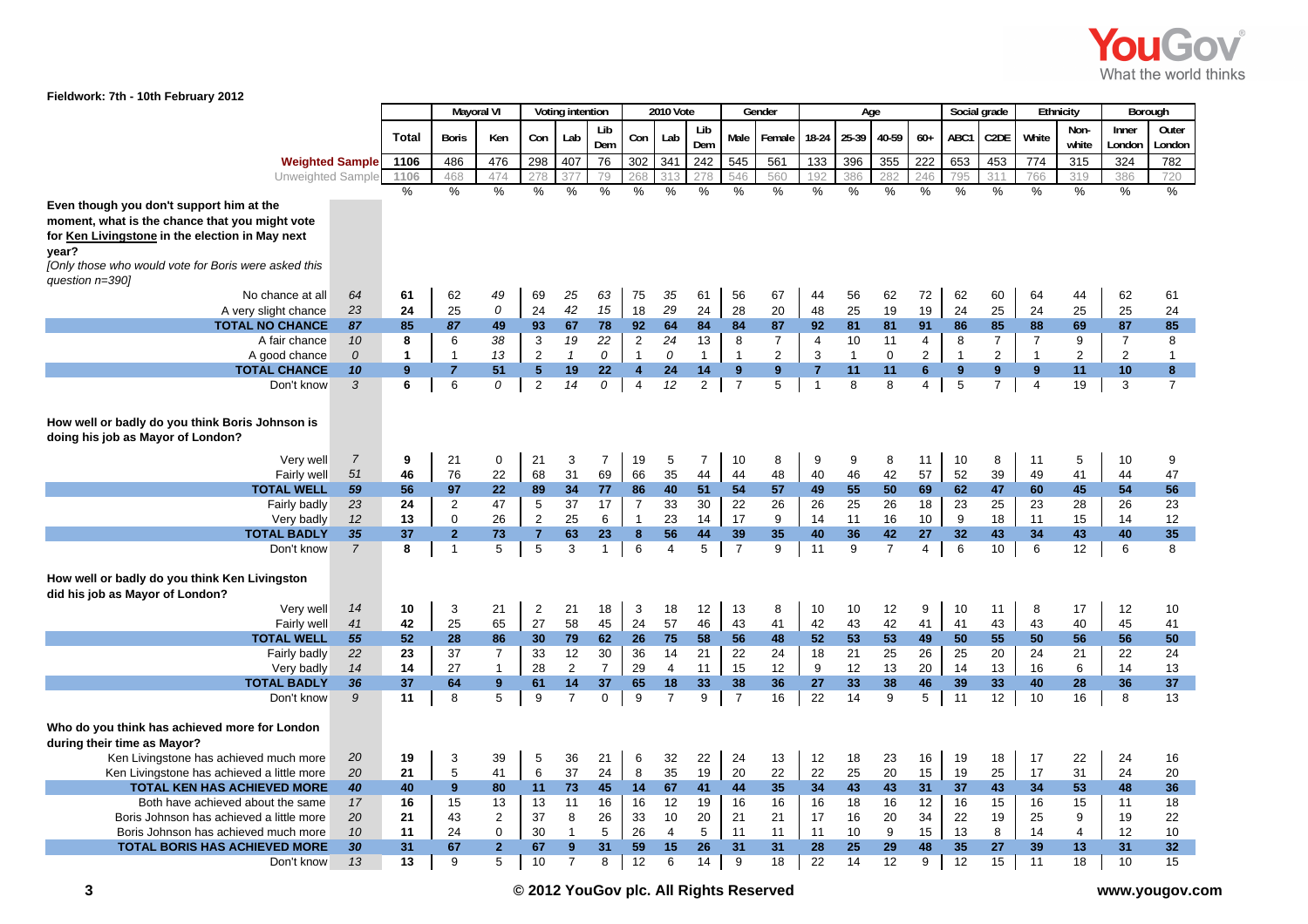

|                                                                                      |                      |              | <b>Mayoral VI</b>              |                               |                     | Voting intention  |                    |                 | <b>2010 Vote</b>     |                |                      | Gender                  |                |              | Age                  |                      |             | Social grade          |                | Ethnicity      |                 | Borough               |
|--------------------------------------------------------------------------------------|----------------------|--------------|--------------------------------|-------------------------------|---------------------|-------------------|--------------------|-----------------|----------------------|----------------|----------------------|-------------------------|----------------|--------------|----------------------|----------------------|-------------|-----------------------|----------------|----------------|-----------------|-----------------------|
|                                                                                      |                      | <b>Total</b> | <b>Boris</b>                   | Ken                           | Con                 | Lab               | Lib<br>Dem         | Con             | Lab                  | Lib<br>Dem     | Male                 | Female                  | 18-24          | 25-39        | 40-59                | $60+$                | ABC1        | C <sub>2</sub> DE     | White          | Non-<br>white  | Inner<br>London | Outer<br>London       |
| <b>Weighted Sample</b>                                                               |                      | 1106         | 486                            | 476                           | 298                 | 407               | 76                 | 302             | 341                  | 242            | 545                  | 561                     | 133            | 396          | 355                  | 222                  | 653         | 453                   | 774            | 315            | 324             | 782                   |
| Unweighted Sample                                                                    |                      | 1106         | 468                            | 474                           | 278                 | 377               | 79                 | 268             | 313                  | 278            | 546                  | 560                     | 192            | 386          | 282                  | 246                  | 795         | 311                   | 766            | 319            | 386             | 720                   |
|                                                                                      |                      | $\%$         | $\%$                           | $\%$                          | %                   | $\%$              | $\%$               | $\%$            | %                    | $\%$           | $\%$                 | $\%$                    | $\%$           | %            | %                    | $\%$                 | %           | $\%$                  | $\%$           | %              | %               | $\%$                  |
| Even though you don't support him at the                                             |                      |              |                                |                               |                     |                   |                    |                 |                      |                |                      |                         |                |              |                      |                      |             |                       |                |                |                 |                       |
| moment, what is the chance that you might vote                                       |                      |              |                                |                               |                     |                   |                    |                 |                      |                |                      |                         |                |              |                      |                      |             |                       |                |                |                 |                       |
| for Ken Livingstone in the election in May next                                      |                      |              |                                |                               |                     |                   |                    |                 |                      |                |                      |                         |                |              |                      |                      |             |                       |                |                |                 |                       |
| year?<br>[Only those who would vote for Boris were asked this<br>question n=390]     |                      |              |                                |                               |                     |                   |                    |                 |                      |                |                      |                         |                |              |                      |                      |             |                       |                |                |                 |                       |
| No chance at all                                                                     | 64                   | 61           | 62                             | 49                            | 69                  | 25                | 63                 | 75              | 35                   | 61             | 56                   | 67                      | 44             | 56           | 62                   | 72                   | 62          | 60                    | 64             | 44             | 62              | 61                    |
| A very slight chance                                                                 | 23                   | 24           | 25                             | 0                             | 24                  | 42                | 15                 | 18              | 29                   | 24             | 28                   | 20                      | 48             | 25           | 19                   | 19                   | 24          | 25                    | 24             | 25             | 25              | 24                    |
| <b>TOTAL NO CHANCE</b>                                                               | 87                   | 85           | 87                             | 49                            | 93                  | 67                | 78                 | 92 <sub>2</sub> | 64                   | 84             | 84                   | 87                      | 92             | 81           | 81                   | 91                   | 86          | 85                    | 88             | 69             | 87              | 85                    |
| A fair chance                                                                        | 10                   | 8            | 6                              | 38                            | 3                   | 19                | 22                 | $\overline{2}$  | 24                   | 13             | 8                    | 7                       | 4              | 10           | 11                   | 4                    | 8           | $\overline{7}$        | $\overline{7}$ | 9              | $\overline{7}$  | 8                     |
| A good chance                                                                        | $\mathcal{O}$        | $\mathbf{1}$ | $\mathbf{1}$                   | 13                            | $\overline{2}$      | $\mathbf{1}$      | 0                  | $\overline{1}$  | 0                    | $\mathbf{1}$   | $\overline{1}$       | $\overline{\mathbf{c}}$ | $\mathsf 3$    | $\mathbf{1}$ | $\mathbf 0$          | $\overline{c}$       | $\mathbf 1$ | $\overline{2}$        |                | $\overline{c}$ | $\overline{c}$  | $\mathbf{1}$          |
| <b>TOTAL CHANCE</b>                                                                  | 10                   | 9            | $\overline{7}$                 | 51                            | 5                   | 19<br>14          | 22<br>0            | 4               | 24                   | 14             | $\bf{9}$             | $\bf{9}$                | 7              | 11           | 11                   | $6\phantom{1}$       | 9           | 9<br>$\overline{7}$   | 9              | 11             | 10              | 8<br>$\overline{7}$   |
| Don't know                                                                           | 3                    | 6            | 6                              | 0                             | $\overline{2}$      |                   |                    | $\overline{4}$  | 12                   | $\overline{2}$ | $\overline{7}$       | 5                       | $\overline{1}$ | 8            | 8                    | 4                    | 5           |                       | $\overline{4}$ | 19             | 3               |                       |
| How well or badly do you think Boris Johnson is<br>doing his job as Mayor of London? |                      |              |                                |                               |                     |                   |                    |                 |                      |                |                      |                         |                |              |                      |                      |             |                       |                |                |                 |                       |
| Very well                                                                            | $\overline{7}$       | 9            | 21                             | $\mathbf 0$                   | 21                  | 3                 | $\overline{7}$     | 19              | 5                    | $\overline{7}$ | 10                   | 8                       | 9              | 9            | 8                    | 11                   | 10          | 8                     | 11             | 5              | 10              | 9                     |
| Fairly well                                                                          | 51                   | 46           | 76                             | 22                            | 68                  | 31                | 69                 | 66              | 35                   | 44             | 44                   | 48                      | 40             | 46           | 42                   | 57                   | 52          | 39                    | 49             | 41             | 44              | 47                    |
| <b>TOTAL WELL</b>                                                                    | 59                   | 56           | 97                             | 22                            | 89                  | 34                | 77                 | 86              | 40                   | 51             | 54                   | 57                      | 49             | 55           | 50                   | 69                   | 62          | 47                    | 60             | 45             | 54              | 56                    |
| Fairly badly                                                                         | 23                   | 24           | $\overline{2}$                 | 47                            | 5                   | 37                | 17                 | $\overline{7}$  | 33                   | 30             | 22                   | 26                      | 26             | 25           | 26                   | 18                   | 23          | 25                    | 23             | 28             | 26              | 23                    |
| Very badly                                                                           | 12                   | 13           | $\mathbf 0$                    | 26                            | $\overline{2}$      | 25                | 6                  | $\overline{1}$  | 23                   | 14             | 17                   | 9                       | 14             | 11           | 16                   | 10                   | 9           | 18                    | 11             | 15             | 14              | 12                    |
| <b>TOTAL BADLY</b><br>Don't know                                                     | 35<br>$\overline{7}$ | 37<br>8      | $\overline{2}$<br>$\mathbf{1}$ | 73<br>5                       | $\overline{7}$<br>5 | 63<br>3           | 23<br>$\mathbf{1}$ | 8<br>6          | 56<br>$\overline{4}$ | 44<br>5        | 39<br>$\overline{7}$ | 35<br>9                 | 40<br>11       | 36<br>9      | 42<br>$\overline{7}$ | 27<br>$\overline{4}$ | 32<br>6     | 43<br>10 <sup>1</sup> | 34<br>6        | 43<br>12       | 40<br>6         | 35<br>8               |
|                                                                                      |                      |              |                                |                               |                     |                   |                    |                 |                      |                |                      |                         |                |              |                      |                      |             |                       |                |                |                 |                       |
| How well or badly do you think Ken Livingston<br>did his job as Mayor of London?     |                      |              |                                |                               |                     |                   |                    |                 |                      |                |                      |                         |                |              |                      |                      |             |                       |                |                |                 |                       |
| Very well                                                                            | 14                   | 10           | 3                              | 21                            | $\overline{2}$      | 21                | 18                 | 3               | 18                   | 12             | 13                   | 8                       | 10             | 10           | 12                   | 9                    | 10          | 11                    | 8              | 17             | 12              | 10                    |
| Fairly well<br><b>TOTAL WELL</b>                                                     | 41<br>55             | 42<br>52     | 25<br>28                       | 65<br>86                      | 27<br>30            | 58<br>79          | 45<br>62           | 24<br>26        | 57<br>75             | 46<br>58       | 43<br>56             | 41<br>48                | 42<br>52       | 43<br>53     | 42<br>53             | 41<br>49             | 41          | 43<br>55              | 43<br>50       | 40             | 45<br>56        | 41<br>50              |
| Fairly badly                                                                         | 22                   | 23           | 37                             | $\overline{7}$                | 33                  | 12                | 30                 | 36              | 14                   | 21             | 22                   | 24                      | 18             | 21           | 25                   | 26                   | 50<br>25    | 20                    | 24             | 56<br>21       | 22              | 24                    |
| Very badly                                                                           | 14                   | 14           | 27                             | $\mathbf{1}$                  | 28                  | $\overline{2}$    | $\overline{7}$     | 29              | $\overline{4}$       | 11             | 15                   | $12 \,$                 | 9              | 12           | 13                   | 20                   | 14          | 13                    | 16             | 6              | 14              | 13                    |
| <b>TOTAL BADLY</b>                                                                   | 36                   | 37           | 64                             | $9^{\circ}$                   | 61                  | 14                | 37                 | 65              | 18                   | 33             | 38                   | 36                      | 27             | 33           | 38                   | 46                   | 39          | 33                    | 40             | 28             | 36              | 37                    |
| Don't know                                                                           | 9                    | 11           | 8                              | 5                             | 9                   | $\overline{7}$    | 0                  | 9               | $\overline{7}$       | 9              | $\overline{7}$       | 16                      | 22             | 14           | 9                    | 5                    | 11          | 12                    | 10             | 16             | 8               | 13                    |
| Who do you think has achieved more for London<br>during their time as Mayor?         |                      |              |                                |                               |                     |                   |                    |                 |                      |                |                      |                         |                |              |                      |                      |             |                       |                |                |                 |                       |
| Ken Livingstone has achieved much more                                               | 20                   | 19           | 3                              | 39                            | 5                   | 36                | 21                 | 6               | 32                   | 22             | 24                   | 13                      | 12             | 18           | 23                   | 16                   | 19          | 18                    | 17             | 22             | 24              | 16                    |
| Ken Livingstone has achieved a little more                                           | 20                   | 21           | 5                              | 41                            | 6                   | 37                | 24                 | 8               | 35                   | 19             | 20                   | 22                      | 22             | 25           | 20                   | 15                   | 19          | 25                    | 17             | 31             | 24              | 20                    |
| <b>TOTAL KEN HAS ACHIEVED MORE</b>                                                   | 40                   | 40           | 9                              | 80                            | 11                  | 73                | 45                 | 14              | 67                   | 41             | 44                   | 35                      | 34             | 43           | 43                   | 31                   | 37          | 43                    | 34             | 53             | 48              | 36                    |
| Both have achieved about the same                                                    | 17                   | 16           | 15                             | 13                            | 13                  | 11                | 16                 | 16              | 12                   | 19             | 16                   | 16                      | 16             | 18           | 16                   | 12                   | 16          | 15                    | 16             | 15             | 11              | 18                    |
| Boris Johnson has achieved a little more                                             | 20                   | 21           | 43                             | $\overline{2}$                | 37                  | 8                 | 26                 | 33              | 10                   | 20             | 21                   | 21                      | 17             | 16           | 20                   | 34                   | 22          | 19                    | 25             | 9              | 19              | 22                    |
| Boris Johnson has achieved much more<br><b>TOTAL BORIS HAS ACHIEVED MORE</b>         | 10<br>30             | 11<br>31     | 24<br>67                       | $\mathbf 0$<br>$\overline{2}$ | 30<br>67            | $\mathbf{1}$<br>9 | 5<br>31            | 26<br>59        | $\overline{4}$<br>15 | 5<br>26        | 11<br>31             | 11<br>31                | 11<br>28       | 10<br>25     | 9<br>29              | 15<br>48             | 13<br>35    | 8<br>27               | 14<br>39       | 4<br>13        | 12<br>31        | 10<br>32 <sub>2</sub> |
| Don't know                                                                           | 13                   | 13           | 9                              | 5                             | 10                  | $\overline{7}$    | 8                  | 12              | 6                    | 14             | 9                    | 18                      | 22             | 14           | 12                   | 9                    | 12          | 15                    | 11             | 18             | 10              | 15                    |
|                                                                                      |                      |              |                                |                               |                     |                   |                    |                 |                      |                |                      |                         |                |              |                      |                      |             |                       |                |                |                 |                       |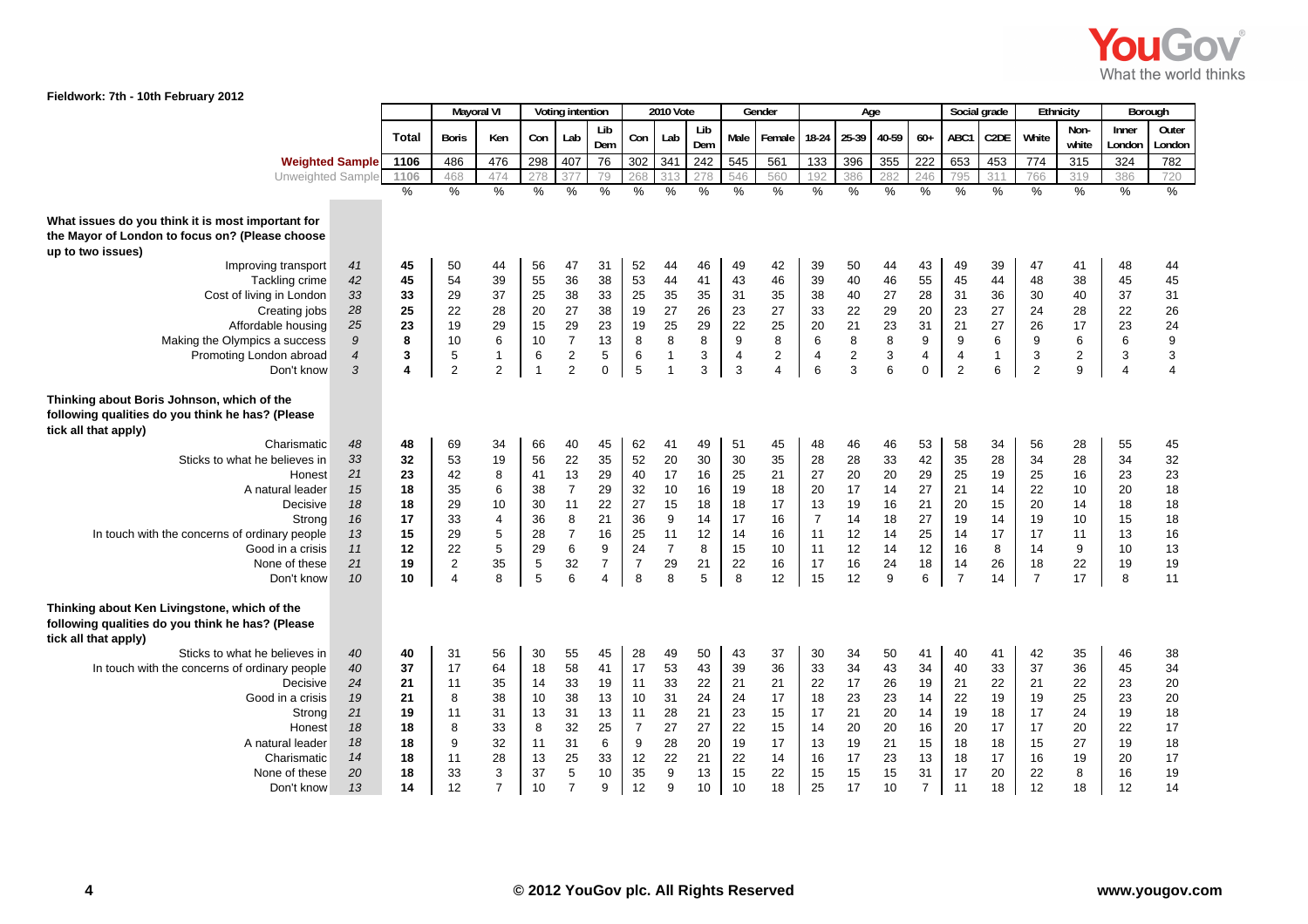

|                                                                                                                                                                                                      |                                                          |                                                          | <b>Mayoral VI</b>                                                            |                                                                                    |                                                                 | Voting intention                                                                      |                                                                                 |                                                                         | 2010 Vote                                                          |                                                          |                                                          | Gender                                                        |                                                                      | Age                                                      |                                                                   |                                                                      |                                                                      | Social grade                                             |                                                                      | Ethnicity                                               | Borough                                                  |                                                                     |
|------------------------------------------------------------------------------------------------------------------------------------------------------------------------------------------------------|----------------------------------------------------------|----------------------------------------------------------|------------------------------------------------------------------------------|------------------------------------------------------------------------------------|-----------------------------------------------------------------|---------------------------------------------------------------------------------------|---------------------------------------------------------------------------------|-------------------------------------------------------------------------|--------------------------------------------------------------------|----------------------------------------------------------|----------------------------------------------------------|---------------------------------------------------------------|----------------------------------------------------------------------|----------------------------------------------------------|-------------------------------------------------------------------|----------------------------------------------------------------------|----------------------------------------------------------------------|----------------------------------------------------------|----------------------------------------------------------------------|---------------------------------------------------------|----------------------------------------------------------|---------------------------------------------------------------------|
|                                                                                                                                                                                                      |                                                          | <b>Total</b>                                             | <b>Boris</b>                                                                 | Ken                                                                                | Con                                                             | Lab                                                                                   | Lib<br>Dem                                                                      | Con                                                                     | Lab                                                                | Lib<br>Dem                                               | Male                                                     | Female                                                        | 18-24 25-39                                                          |                                                          | 40-59                                                             | $60+$                                                                | ABC1                                                                 | C <sub>2</sub> DE                                        | White                                                                | Non-<br>white                                           | Inner<br>London                                          | Outer<br>Londor                                                     |
| <b>Weighted Sample</b>                                                                                                                                                                               |                                                          | 1106                                                     | 486                                                                          | 476                                                                                | 298                                                             | 407                                                                                   | 76                                                                              | 302                                                                     | 341                                                                | 242                                                      | 545                                                      | 561                                                           | 133                                                                  | 396                                                      | 355                                                               | 222                                                                  | 653                                                                  | 453                                                      | 774                                                                  | 315                                                     | 324                                                      | 782                                                                 |
| Unweighted Sample                                                                                                                                                                                    |                                                          | 1106                                                     | 468                                                                          | 474                                                                                | 278                                                             | 37                                                                                    | 79                                                                              | 268                                                                     | 313                                                                | 278                                                      | 546                                                      | 560                                                           | 192                                                                  | 386                                                      | 282                                                               | 246                                                                  | 795                                                                  | 311                                                      | 766                                                                  | 319                                                     | 386                                                      | 720                                                                 |
|                                                                                                                                                                                                      |                                                          | $\%$                                                     | $\frac{9}{6}$                                                                | $\frac{9}{6}$                                                                      | $\%$                                                            | %                                                                                     | $\frac{0}{6}$                                                                   | $\frac{9}{6}$                                                           | $\frac{0}{6}$                                                      | $\frac{0}{6}$                                            | $\%$                                                     | $\frac{9}{6}$                                                 | $\%$                                                                 | %                                                        | $\frac{0}{0}$                                                     | $\%$                                                                 | $\%$                                                                 | $\frac{9}{6}$                                            | $\frac{9}{6}$                                                        | $\%$                                                    | $\%$                                                     | $\frac{0}{6}$                                                       |
| What issues do you think it is most important for<br>the Mayor of London to focus on? (Please choose<br>up to two issues)<br>Improving transport                                                     | 41                                                       | 45                                                       | 50                                                                           | 44                                                                                 | 56                                                              | 47                                                                                    | 31                                                                              | 52                                                                      | 44                                                                 | 46                                                       | 49                                                       | 42                                                            | 39                                                                   | 50                                                       | 44                                                                | 43                                                                   | 49                                                                   | 39                                                       | 47                                                                   | 41                                                      | 48                                                       | 44                                                                  |
| Tackling crime<br>Cost of living in London<br>Creating jobs<br>Affordable housing<br>Making the Olympics a success<br>Promoting London abroad<br>Don't know                                          | 42<br>33<br>28<br>25<br>9<br>$\overline{4}$<br>3         | 45<br>33<br>25<br>23<br>8<br>3<br>4                      | 54<br>29<br>22<br>19<br>10<br>$\,$ 5 $\,$<br>$\overline{2}$                  | 39<br>37<br>28<br>29<br>6<br>$\mathbf{1}$<br>$\overline{2}$                        | 55<br>25<br>20<br>15<br>10<br>6<br>$\overline{1}$               | 36<br>38<br>27<br>29<br>$\overline{7}$<br>$\boldsymbol{2}$<br>$\overline{2}$          | 38<br>33<br>38<br>23<br>13<br>5<br>0                                            | 53<br>25<br>19<br>19<br>8<br>$\,6$<br>5                                 | 44<br>35<br>27<br>25<br>8<br>$\mathbf{1}$<br>$\overline{1}$        | 41<br>35<br>26<br>29<br>8<br>3<br>3                      | 43<br>31<br>23<br>22<br>9<br>$\overline{a}$<br>3         | 46<br>35<br>27<br>25<br>8<br>$\overline{2}$<br>$\overline{4}$ | 39<br>38<br>33<br>20<br>6<br>4<br>6                                  | 40<br>40<br>22<br>21<br>$\bf 8$<br>$\mathbf 2$<br>3      | 46<br>27<br>29<br>23<br>$\bf 8$<br>$\ensuremath{\mathsf{3}}$<br>6 | 55<br>28<br>20<br>31<br>9<br>4<br>0                                  | 45<br>31<br>23<br>21<br>9<br>$\overline{4}$<br>$\overline{c}$        | 44<br>36<br>27<br>27<br>6<br>$\mathbf 1$<br>6            | 48<br>30<br>24<br>26<br>9<br>$\mathbf{3}$<br>$\overline{2}$          | 38<br>40<br>28<br>17<br>6<br>$\overline{c}$<br>9        | 45<br>37<br>22<br>23<br>6<br>3<br>4                      | 45<br>31<br>26<br>24<br>$\boldsymbol{9}$<br>$\sqrt{3}$<br>$\pmb{4}$ |
| Thinking about Boris Johnson, which of the<br>following qualities do you think he has? (Please<br>tick all that apply)                                                                               |                                                          |                                                          |                                                                              |                                                                                    |                                                                 |                                                                                       |                                                                                 |                                                                         |                                                                    |                                                          |                                                          |                                                               |                                                                      |                                                          |                                                                   |                                                                      |                                                                      |                                                          |                                                                      |                                                         |                                                          |                                                                     |
| Charismatic<br>Sticks to what he believes in<br>Honest<br>A natural leader<br>Decisive<br>Strong<br>In touch with the concerns of ordinary people<br>Good in a crisis<br>None of these<br>Don't know | 48<br>33<br>21<br>15<br>18<br>16<br>13<br>11<br>21<br>10 | 48<br>32<br>23<br>18<br>18<br>17<br>15<br>12<br>19<br>10 | 69<br>53<br>42<br>35<br>29<br>33<br>29<br>22<br>$\sqrt{2}$<br>$\overline{4}$ | 34<br>19<br>8<br>6<br>10<br>$\overline{4}$<br>$\mathbf 5$<br>$\sqrt{5}$<br>35<br>8 | 66<br>56<br>41<br>38<br>30<br>36<br>28<br>29<br>$\sqrt{5}$<br>5 | 40<br>22<br>13<br>$\boldsymbol{7}$<br>11<br>8<br>$\overline{7}$<br>$\,6\,$<br>32<br>6 | 45<br>35<br>29<br>29<br>22<br>21<br>16<br>9<br>$\overline{7}$<br>$\overline{4}$ | 62<br>52<br>40<br>32<br>27<br>36<br>25<br>24<br>$\overline{7}$<br>8     | 41<br>20<br>17<br>10<br>15<br>9<br>11<br>$\overline{7}$<br>29<br>8 | 49<br>30<br>16<br>16<br>18<br>14<br>12<br>8<br>21<br>5   | 51<br>30<br>25<br>19<br>18<br>17<br>14<br>15<br>22<br>8  | 45<br>35<br>21<br>18<br>17<br>16<br>16<br>10<br>16<br>12      | 48<br>28<br>27<br>20<br>13<br>$\overline{7}$<br>11<br>11<br>17<br>15 | 46<br>28<br>20<br>17<br>19<br>14<br>12<br>12<br>16<br>12 | 46<br>33<br>20<br>14<br>16<br>18<br>14<br>14<br>24<br>9           | 53<br>42<br>29<br>27<br>21<br>27<br>25<br>12<br>18<br>6              | 58<br>35<br>25<br>21<br>20<br>19<br>14<br>16<br>14<br>$\overline{7}$ | 34<br>28<br>19<br>14<br>15<br>14<br>17<br>8<br>26<br>14  | 56<br>34<br>25<br>22<br>20<br>19<br>17<br>14<br>18<br>$\overline{7}$ | 28<br>28<br>16<br>10<br>14<br>10<br>11<br>9<br>22<br>17 | 55<br>34<br>23<br>20<br>18<br>15<br>13<br>10<br>19<br>8  | 45<br>32<br>23<br>18<br>18<br>18<br>16<br>13<br>19<br>11            |
| Thinking about Ken Livingstone, which of the<br>following qualities do you think he has? (Please<br>tick all that apply)                                                                             |                                                          |                                                          |                                                                              |                                                                                    |                                                                 |                                                                                       |                                                                                 |                                                                         |                                                                    |                                                          |                                                          |                                                               |                                                                      |                                                          |                                                                   |                                                                      |                                                                      |                                                          |                                                                      |                                                         |                                                          |                                                                     |
| Sticks to what he believes in<br>In touch with the concerns of ordinary people<br>Decisive<br>Good in a crisis<br>Strong<br>Honest<br>A natural leader<br>Charismatic<br>None of these<br>Don't know | 40<br>40<br>24<br>19<br>21<br>18<br>18<br>14<br>20<br>13 | 40<br>37<br>21<br>21<br>19<br>18<br>18<br>18<br>18<br>14 | 31<br>17<br>11<br>8<br>11<br>8<br>9<br>11<br>33<br>12                        | 56<br>64<br>35<br>38<br>31<br>33<br>32<br>28<br>3<br>$\overline{7}$                | 30<br>18<br>14<br>10<br>13<br>8<br>11<br>13<br>37<br>10         | 55<br>58<br>33<br>38<br>31<br>32<br>31<br>25<br>$\mathbf 5$<br>$\overline{7}$         | 45<br>41<br>19<br>13<br>13<br>25<br>6<br>33<br>10<br>9                          | 28<br>17<br>11<br>10<br>11<br>$\overline{7}$<br>$9\,$<br>12<br>35<br>12 | 49<br>53<br>33<br>31<br>28<br>27<br>28<br>22<br>9<br>9             | 50<br>43<br>22<br>24<br>21<br>27<br>20<br>21<br>13<br>10 | 43<br>39<br>21<br>24<br>23<br>22<br>19<br>22<br>15<br>10 | 37<br>36<br>21<br>17<br>15<br>15<br>17<br>14<br>22<br>18      | 30<br>33<br>22<br>18<br>17<br>14<br>13<br>16<br>15<br>25             | 34<br>34<br>17<br>23<br>21<br>20<br>19<br>17<br>15<br>17 | 50<br>43<br>26<br>23<br>20<br>20<br>21<br>23<br>15<br>10          | 41<br>34<br>19<br>14<br>14<br>16<br>15<br>13<br>31<br>$\overline{7}$ | 40<br>40<br>21<br>22<br>19<br>20<br>18<br>18<br>17<br>11             | 41<br>33<br>22<br>19<br>18<br>17<br>18<br>17<br>20<br>18 | 42<br>37<br>21<br>19<br>17<br>17<br>15<br>16<br>22<br>12             | 35<br>36<br>22<br>25<br>24<br>20<br>27<br>19<br>8<br>18 | 46<br>45<br>23<br>23<br>19<br>22<br>19<br>20<br>16<br>12 | 38<br>34<br>20<br>20<br>18<br>17<br>18<br>17<br>19<br>14            |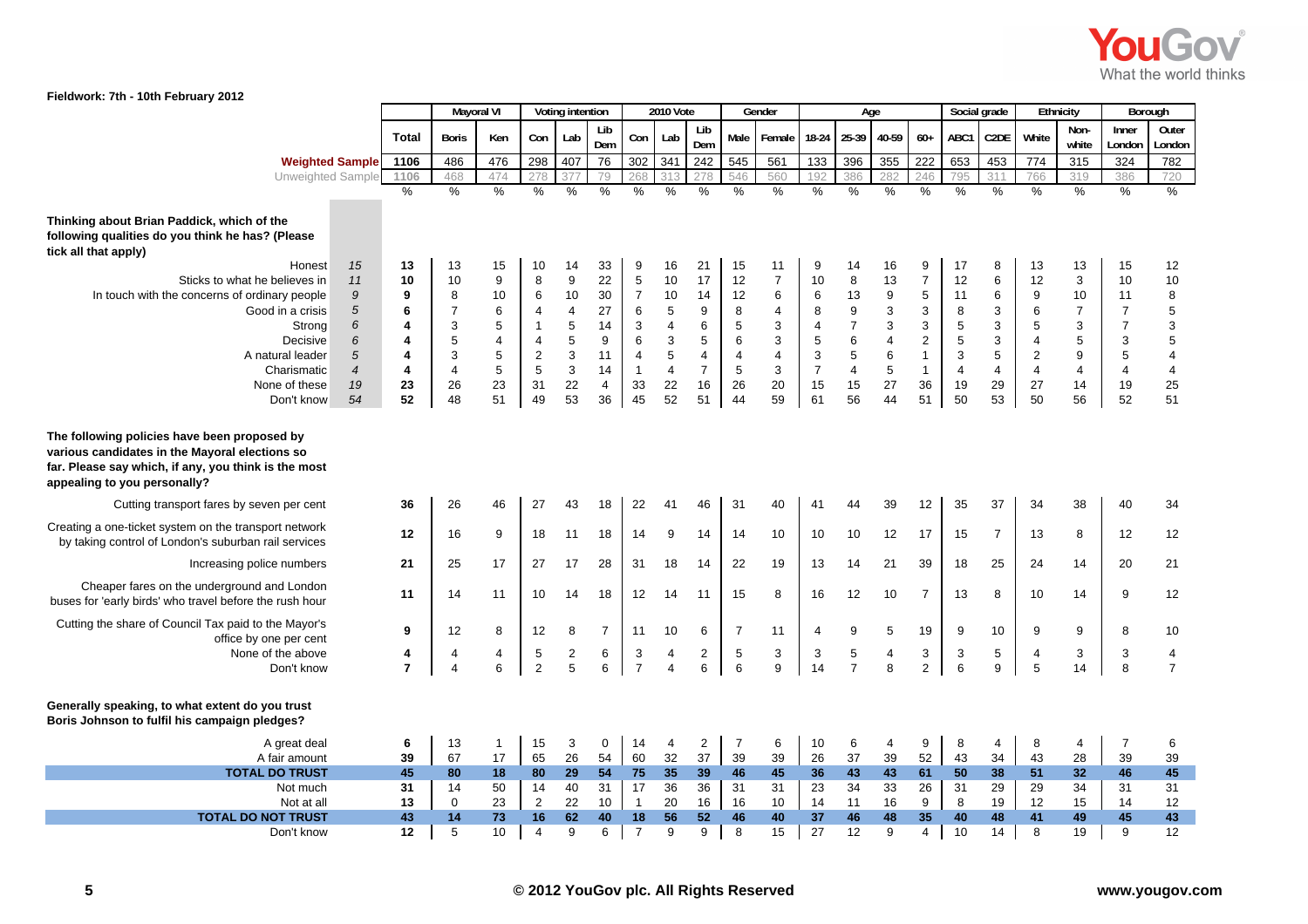

|                                                                                                                                                                                        |                                |                  | <b>Mayoral VI</b>   |                  |                      | Voting intention          |                  |                      | 2010 Vote      |                |                 | Gender                  |                | Age                          |                                        |                   |                 | Social grade                   |                | Ethnicity                 | Borough                            |                         |
|----------------------------------------------------------------------------------------------------------------------------------------------------------------------------------------|--------------------------------|------------------|---------------------|------------------|----------------------|---------------------------|------------------|----------------------|----------------|----------------|-----------------|-------------------------|----------------|------------------------------|----------------------------------------|-------------------|-----------------|--------------------------------|----------------|---------------------------|------------------------------------|-------------------------|
|                                                                                                                                                                                        |                                |                  |                     |                  |                      |                           | Lib              |                      |                | Lib            |                 |                         |                |                              |                                        |                   |                 |                                |                | Non-                      | Inner                              | Outer                   |
|                                                                                                                                                                                        |                                | <b>Total</b>     | <b>Boris</b>        | Ken              | Con                  | Lab                       | Dem              | Con                  | Lab            | Dem            | Male            | Female                  | $18-24$        | 25-39                        | 40-59                                  | $60+$             | ABC1            | C2DE                           | White          | white                     | London                             | London                  |
| <b>Weighted Sample</b>                                                                                                                                                                 |                                | 1106             | 486                 | 476              | 298                  | 407                       | 76               | 302                  | 341            | 242            | 545             | 561                     | 133            | 396                          | 355                                    | 222               | 653             | 453                            | 774            | 315                       | 324                                | 782                     |
| Unweighted Sample                                                                                                                                                                      |                                | 1106             | 468                 | 474              | 278                  | 377                       | 79               | 268                  |                | 278            | 546             | 560                     | 192            | 386                          | 282                                    | 246               | 795             | 311                            | 766            | 319                       | 386                                | 720                     |
|                                                                                                                                                                                        |                                | $\frac{1}{2}$    | $\%$                | %                | $\frac{0}{0}$        | $\%$                      | $\frac{0}{0}$    | $\frac{0}{0}$        | $\frac{0}{0}$  | $\%$           | $\frac{1}{2}$   | $\frac{0}{0}$           | $\%$           | $\frac{0}{0}$                | $\%$                                   | $\frac{0}{6}$     | $\frac{0}{0}$   | %                              | $\%$           | $\%$                      | $\%$                               | %                       |
| Thinking about Brian Paddick, which of the<br>following qualities do you think he has? (Please<br>tick all that apply)                                                                 |                                |                  |                     |                  |                      |                           |                  |                      |                |                |                 |                         |                |                              |                                        |                   |                 |                                |                |                           |                                    |                         |
| Honest                                                                                                                                                                                 | 15                             | 13               | 13                  | 15               | 10                   | 14                        | 33               | 9                    | 16             | 21             | 15              | 11                      | 9              | 14                           | 16                                     | $\boldsymbol{9}$  | 17              | 8                              | 13             | 13                        | 15                                 | 12                      |
| Sticks to what he believes in                                                                                                                                                          | 11                             | 10               | 10                  | $\boldsymbol{9}$ | 8                    | $\boldsymbol{9}$          | 22               | $\overline{5}$       | $10$           | 17             | 12              | $\boldsymbol{7}$        | 10             | $\bf 8$                      | 13                                     | $\boldsymbol{7}$  | 12              | 6                              | 12             | $\ensuremath{\mathsf{3}}$ | 10                                 | 10                      |
| In touch with the concerns of ordinary people                                                                                                                                          | 9                              | 9                | 8                   | 10               | 6                    | 10                        | 30               | $\overline{7}$       | 10             | 14             | 12              | 6                       | 6              | 13                           | $\boldsymbol{9}$                       | $\sqrt{5}$        | 11              | $\,6$                          | 9              | 10                        | 11                                 | 8                       |
| Good in a crisis                                                                                                                                                                       | $\sqrt{5}$<br>$\boldsymbol{6}$ | 6<br>4           | $\overline{7}$<br>3 | 6<br>5           | 4<br>$\mathbf{1}$    | $\overline{4}$<br>5       | 27<br>14         | 6                    | 5              | 9<br>6         | 8<br>5          | $\overline{4}$<br>3     | 8              | 9<br>$\overline{\mathbf{7}}$ | 3                                      | 3<br>$\mathbf{3}$ | 8<br>$\sqrt{5}$ | 3                              | 6<br>5         | $\overline{7}$<br>3       | $\overline{7}$<br>$\boldsymbol{7}$ | 5<br>3                  |
| Strong<br>Decisive                                                                                                                                                                     | 6                              | 4                | 5                   | $\overline{4}$   | 4                    | 5                         | $\boldsymbol{9}$ | 3<br>6               | 4<br>3         | 5              | $6\phantom{1}6$ | 3                       | 4<br>5         | $\,6\,$                      | $\ensuremath{\mathsf{3}}$<br>$\pmb{4}$ | $\overline{2}$    | $\overline{5}$  | 3<br>$\ensuremath{\mathsf{3}}$ | $\overline{4}$ | $\sqrt{5}$                | $\ensuremath{\mathsf{3}}$          | 5                       |
| A natural leader                                                                                                                                                                       | $\sqrt{5}$                     | 4                | 3                   | $\sqrt{5}$       | $\mathbf 2$          | 3                         | 11               | $\overline{4}$       | $\sqrt{5}$     | $\overline{4}$ | $\overline{4}$  | $\overline{\mathbf{4}}$ | $\sqrt{3}$     | $\overline{5}$               | $\overline{6}$                         | $\overline{1}$    | $\mathsf 3$     | $\mathbf 5$                    | $\sqrt{2}$     | $\mathsf g$               | $\overline{5}$                     | $\overline{\mathbf{4}}$ |
| Charismatic                                                                                                                                                                            | $\overline{\mathcal{A}}$       | 4                | $\overline{4}$      | $\sqrt{5}$       | 5                    | $\ensuremath{\mathsf{3}}$ | 14               | $\mathbf{1}$         | 4              | $\overline{7}$ | 5               | $\mathsf 3$             | $\overline{7}$ | $\overline{\mathbf{4}}$      | 5                                      | $\mathbf{1}$      | $\overline{4}$  | $\overline{4}$                 | $\overline{4}$ | $\overline{\mathbf{4}}$   | $\overline{\mathbf{4}}$            | $\overline{\mathbf{4}}$ |
| None of these                                                                                                                                                                          | 19                             | 23               | 26                  | 23               | 31                   | 22                        | $\overline{4}$   | 33                   | 22             | 16             | 26              | 20                      | 15             | 15                           | 27                                     | 36                | 19              | 29                             | 27             | 14                        | 19                                 | 25                      |
| Don't know                                                                                                                                                                             | 54                             | 52               | 48                  | 51               | 49                   | 53                        | 36               | 45                   | 52             | 51             | 44              | 59                      | 61             | 56                           | 44                                     | 51                | 50              | 53                             | 50             | 56                        | 52                                 | 51                      |
| The following policies have been proposed by<br>various candidates in the Mayoral elections so<br>far. Please say which, if any, you think is the most<br>appealing to you personally? |                                |                  |                     |                  |                      |                           |                  |                      |                |                |                 |                         |                |                              |                                        |                   |                 |                                |                |                           |                                    |                         |
| Cutting transport fares by seven per cent                                                                                                                                              |                                | 36               | 26                  | 46               | 27                   | 43                        | 18               | 22                   | 41             | 46             | 31              | 40                      | 41             | 44                           | 39                                     | 12                | 35              | 37                             | 34             | 38                        | 40                                 | 34                      |
| Creating a one-ticket system on the transport network<br>by taking control of London's suburban rail services                                                                          |                                | 12               | 16                  | 9                | 18                   | 11                        | 18               | 14                   | 9              | 14             | 14              | 10                      | 10             | 10                           | 12                                     | 17                | 15              | $\overline{7}$                 | 13             | 8                         | 12                                 | 12                      |
| Increasing police numbers                                                                                                                                                              |                                | 21               | 25                  | 17               | 27                   | 17                        | 28               | 31                   | 18             | 14             | 22              | 19                      | 13             | 14                           | 21                                     | 39                | 18              | 25                             | 24             | 14                        | 20                                 | 21                      |
| Cheaper fares on the underground and London<br>buses for 'early birds' who travel before the rush hour                                                                                 |                                | 11               | 14                  | 11               | 10                   | 14                        | 18               | 12                   | 14             | 11             | 15              | 8                       | 16             | 12                           | 10                                     | $\overline{7}$    | 13              | 8                              | 10             | 14                        | 9                                  | 12                      |
| Cutting the share of Council Tax paid to the Mayor's                                                                                                                                   |                                | $\boldsymbol{9}$ | 12                  | 8                | 12                   | 8                         | $\overline{7}$   | 11                   | 10             | 6              | $\overline{7}$  | 11                      | 4              | 9                            | 5                                      | 19                | 9               | 10                             | 9              | 9                         | 8                                  | 10                      |
| office by one per cent<br>None of the above                                                                                                                                            |                                | 4                | 4                   | $\overline{4}$   | $\sqrt{5}$           | $\sqrt{2}$                | 6                | 3                    | 4              | $\overline{2}$ | 5               | $\sqrt{3}$              | 3              | 5                            | 4                                      | $\mathbf{3}$      | $\mathbf{3}$    | $\,$ 5 $\,$                    | 4              | 3                         | 3                                  | $\overline{\mathbf{4}}$ |
| Don't know                                                                                                                                                                             |                                | $\overline{7}$   | $\overline{4}$      | $6\phantom{a}$   | 2                    | 5                         | 6                | $\overline{7}$       | $\overline{4}$ | 6              | 6               | 9                       | 14             | $\overline{7}$               | 8                                      | $\overline{2}$    | 6               | 9                              | 5              | 14                        | 8                                  | $\overline{7}$          |
| Generally speaking, to what extent do you trust<br>Boris Johnson to fulfil his campaign pledges?                                                                                       |                                |                  |                     |                  |                      |                           |                  |                      |                |                |                 |                         |                |                              |                                        |                   |                 |                                |                |                           |                                    |                         |
| A great deal                                                                                                                                                                           |                                | 6                | 13                  | $\mathbf{1}$     | 15                   | 3                         | $\mathbf 0$      | 14                   | 4              | $\overline{2}$ | 7               | 6                       | 10             | 6                            | 4                                      | 9                 | 8               | 4                              | 8              | 4                         | $\overline{7}$                     | 6                       |
| A fair amount                                                                                                                                                                          |                                | 39               | 67                  | 17               | 65                   | 26                        | 54               | 60                   | 32             | 37             | 39              | 39                      | 26             | 37                           | 39                                     | 52                | 43              | 34                             | 43             | 28                        | 39                                 | 39                      |
| <b>TOTAL DO TRUST</b>                                                                                                                                                                  |                                | 45               | 80                  | 18               | 80                   | 29                        | 54               | 75                   | 35             | 39             | 46              | 45                      | 36             | 43                           | 43                                     | 61                | 50              | 38                             | 51             | 32                        | 46                                 | 45                      |
| Not much                                                                                                                                                                               |                                | 31               | 14                  | 50               | 14                   | 40                        | 31               | 17                   | 36             | 36             | 31              | 31                      | 23             | 34                           | 33                                     | 26                | 31              | 29                             | 29             | 34                        | 31                                 | 31                      |
| Not at all                                                                                                                                                                             |                                | 13<br>43         | $\mathbf 0$<br>14   | 23<br>73         | $\overline{2}$<br>16 | 22                        | 10               | $\mathbf{1}$         | 20             | 16             | 16<br>46        | 10                      | 14             | 11                           | 16                                     | 9<br>35           | 8<br>40         | 19                             | 12             | 15<br>49                  | 14<br>45                           | 12<br>43                |
| <b>TOTAL DO NOT TRUST</b><br>Don't know                                                                                                                                                |                                | 12               | 5                   | 10               | $\overline{4}$       | 62<br>9                   | 40<br>6          | 18<br>$\overline{7}$ | 56<br>9        | 52<br>9        | 8               | 40<br>15                | 37<br>27       | 46<br>12                     | 48<br>9                                | $\overline{4}$    | 10              | 48<br>14                       | 41<br>8        | 19                        | 9                                  | 12                      |
|                                                                                                                                                                                        |                                |                  |                     |                  |                      |                           |                  |                      |                |                |                 |                         |                |                              |                                        |                   |                 |                                |                |                           |                                    |                         |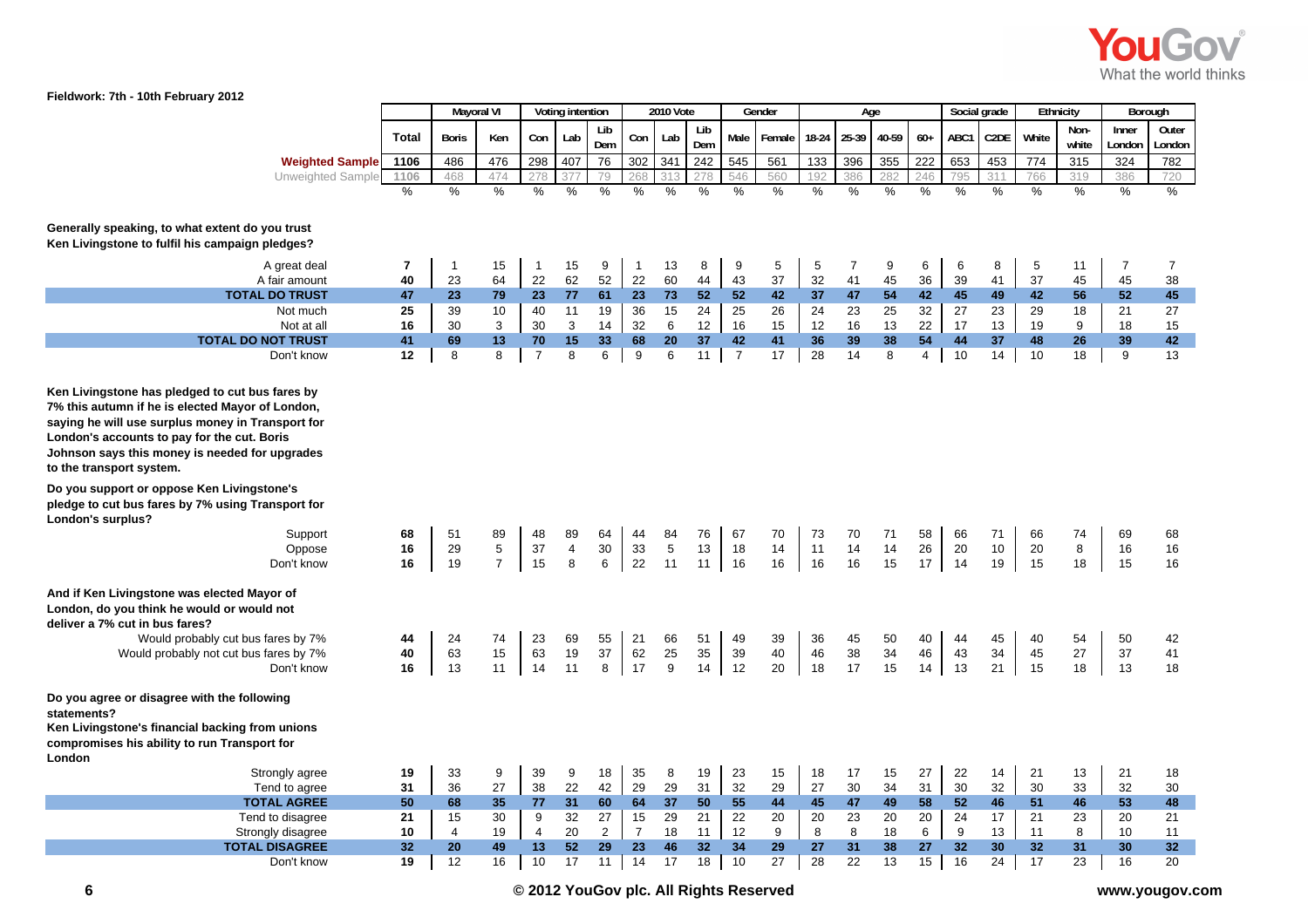

|                                                                                                                                                                                                                                                                                       |                       | <b>Mayoral VI</b> |                      |                | Voting intention |                     |                      | <b>2010 Vote</b>     |                |                | Gender         |                | Age            |                |                |                      | Social grade         | Ethnicity      |                | Borough         |                 |
|---------------------------------------------------------------------------------------------------------------------------------------------------------------------------------------------------------------------------------------------------------------------------------------|-----------------------|-------------------|----------------------|----------------|------------------|---------------------|----------------------|----------------------|----------------|----------------|----------------|----------------|----------------|----------------|----------------|----------------------|----------------------|----------------|----------------|-----------------|-----------------|
|                                                                                                                                                                                                                                                                                       | Total                 | Boris             | Ken                  | Con            | Lab              | Lib<br>Dem          | Con                  | Lab                  | Lib<br>Dem     | Male           | Female         | $18-24$        | 25-39          | 40-59          | $60+$          | ABC1                 | C <sub>2</sub> DE    | White          | Non-<br>white  | Inner<br>London | Outer<br>London |
| <b>Weighted Sample</b>                                                                                                                                                                                                                                                                | 1106                  | 486               | 476                  | 298            | 407              | 76                  | 302                  | 341                  | 242            | 545            | 561            | 133            | 396            | 355            | 222            | 653                  | 453                  | 774            | 315            | 324             | 782             |
| Unweighted Sample                                                                                                                                                                                                                                                                     | 1106<br>$\frac{1}{2}$ | 468<br>%          | 474<br>$\frac{0}{6}$ | 278<br>$\%$    | $\frac{0}{0}$    | 79<br>$\frac{9}{6}$ | 268<br>$\frac{9}{6}$ | 313<br>$\frac{0}{0}$ | 278<br>$\%$    | 546<br>$\%$    | 560<br>$\%$    | 192<br>$\%$    | 386<br>$\%$    | 282<br>%       | 246<br>$\%$    | 795<br>$\frac{0}{0}$ | 311<br>$\frac{0}{0}$ | 766<br>$\%$    | 319<br>%       | 386<br>$\%$     | 720<br>%        |
|                                                                                                                                                                                                                                                                                       |                       |                   |                      |                |                  |                     |                      |                      |                |                |                |                |                |                |                |                      |                      |                |                |                 |                 |
| Generally speaking, to what extent do you trust<br>Ken Livingstone to fulfil his campaign pledges?                                                                                                                                                                                    |                       |                   |                      |                |                  |                     |                      |                      |                |                |                |                |                |                |                |                      |                      |                |                |                 |                 |
| A great deal                                                                                                                                                                                                                                                                          | 7                     | $\mathbf{1}$      | 15                   | $\mathbf{1}$   | 15               | 9                   | $\mathbf{1}$         | 13                   | 8              | 9              | 5              | 5              | $\overline{7}$ | 9              | 6              | 6                    | 8                    | $\sqrt{5}$     | 11             | $\overline{7}$  | $\overline{7}$  |
| A fair amount                                                                                                                                                                                                                                                                         | 40                    | 23                | 64                   | 22             | 62               | 52                  | 22                   | 60                   | 44             | 43             | 37             | 32             | 41             | 45             | 36             | 39                   | 41                   | 37             | 45             | 45              | 38              |
| <b>TOTAL DO TRUST</b><br>Not much                                                                                                                                                                                                                                                     | 47<br>25              | 23<br>39          | 79<br>10             | 23<br>40       | 77<br>11         | 61<br>19            | 23<br>36             | 73<br>15             | 52<br>24       | 52<br>25       | 42<br>26       | 37<br>24       | 47<br>23       | 54<br>25       | 42<br>32       | 45<br>27             | 49<br>23             | 42<br>29       | 56<br>18       | 52<br>21        | 45<br>27        |
| Not at all                                                                                                                                                                                                                                                                            | 16                    | 30                | 3                    | 30             | 3                | 14                  | 32                   | 6                    | 12             | 16             | 15             | 12             | 16             | 13             | 22             | 17                   | 13                   | 19             | 9              | 18              | 15              |
| <b>TOTAL DO NOT TRUST</b>                                                                                                                                                                                                                                                             | 41                    | 69                | 13                   | 70             | 15               | 33                  | 68                   | 20                   | 37             | 42             | 41             | 36             | 39             | 38             | 54             | 44                   | 37                   | 48             | 26             | 39              | 42              |
| Don't know                                                                                                                                                                                                                                                                            | 12                    | 8                 | 8                    | $\overline{7}$ | 8                | 6                   | 9                    | 6                    | 11             | $\overline{7}$ | 17             | 28             | 14             | 8              | $\overline{4}$ | 10                   | 14                   | 10             | 18             | 9               | 13              |
| Ken Livingstone has pledged to cut bus fares by<br>7% this autumn if he is elected Mayor of London,<br>saying he will use surplus money in Transport for<br>London's accounts to pay for the cut. Boris<br>Johnson says this money is needed for upgrades<br>to the transport system. |                       |                   |                      |                |                  |                     |                      |                      |                |                |                |                |                |                |                |                      |                      |                |                |                 |                 |
| Do you support or oppose Ken Livingstone's<br>pledge to cut bus fares by 7% using Transport for<br>London's surplus?                                                                                                                                                                  |                       |                   |                      |                |                  |                     |                      |                      |                |                |                |                |                |                |                |                      |                      |                |                |                 |                 |
| Support                                                                                                                                                                                                                                                                               | 68                    | 51                | 89                   | 48             | 89               | 64                  | 44                   | 84                   | 76             | 67             | 70             | 73             | 70             | 71             | 58             | 66                   | 71                   | 66             | 74             | 69              | 68              |
| Oppose                                                                                                                                                                                                                                                                                | 16                    | 29                | $\,$ 5 $\,$          | 37             | 4                | 30                  | 33                   | 5                    | 13             | 18             | 14             | 11             | 14             | 14             | 26             | 20                   | $10$                 | 20             | 8              | 16              | 16              |
| Don't know                                                                                                                                                                                                                                                                            | 16                    | 19                | $\overline{7}$       | 15             | 8                | 6                   | 22                   | 11                   | 11             | 16             | 16             | 16             | 16             | 15             | 17             | 14                   | 19                   | 15             | 18             | 15              | 16              |
| And if Ken Livingstone was elected Mayor of<br>London, do you think he would or would not<br>deliver a 7% cut in bus fares?<br>Would probably cut bus fares by 7%<br>Would probably not cut bus fares by 7%<br>Don't know                                                             | 44<br>40<br>16        | 24<br>63<br>13    | 74<br>15<br>11       | 23<br>63<br>14 | 69<br>19<br>11   | 55<br>37<br>8       | 21<br>62<br>17       | 66<br>25<br>9        | 51<br>35<br>14 | 49<br>39<br>12 | 39<br>40<br>20 | 36<br>46<br>18 | 45<br>38<br>17 | 50<br>34<br>15 | 40<br>46<br>14 | 44<br>43<br>13       | 45<br>34<br>21       | 40<br>45<br>15 | 54<br>27<br>18 | 50<br>37<br>13  | 42<br>41<br>18  |
| Do you agree or disagree with the following<br>statements?                                                                                                                                                                                                                            |                       |                   |                      |                |                  |                     |                      |                      |                |                |                |                |                |                |                |                      |                      |                |                |                 |                 |
| Ken Livingstone's financial backing from unions<br>compromises his ability to run Transport for<br>London                                                                                                                                                                             |                       |                   |                      |                |                  |                     |                      |                      |                |                |                |                |                |                |                |                      |                      |                |                |                 |                 |
| Strongly agree                                                                                                                                                                                                                                                                        | 19                    | 33                | 9                    | 39             | 9                | 18                  | 35                   | 8                    | 19             | 23             | 15             | 18             | 17             | 15             | 27             | 22                   | 14                   | 21             | 13             | 21              | 18              |
| Tend to agree                                                                                                                                                                                                                                                                         | 31                    | 36                | 27                   | 38             | 22               | 42                  | 29                   | 29                   | 31             | 32             | 29             | 27             | 30             | 34             | 31             | 30                   | 32                   | 30             | 33             | 32              | 30              |
| <b>TOTAL AGREE</b>                                                                                                                                                                                                                                                                    | 50<br>21              | 68<br>15          | 35<br>30             | 77<br>9        | 31<br>32         | 60<br>27            | 64                   | 37<br>29             | 50<br>21       | 55<br>22       | 44<br>20       | 45             | 47<br>23       | 49             | 58<br>20       | 52<br>24             | 46<br>17             | 51<br>21       | 46<br>23       | 53              | 48<br>21        |
| Tend to disagree<br>Strongly disagree                                                                                                                                                                                                                                                 | 10                    | $\overline{4}$    | 19                   | $\overline{4}$ | 20               | 2                   | 15<br>$\overline{7}$ | 18                   | 11             | 12             | 9              | 20<br>8        | 8              | 20<br>18       | 6              | 9                    | 13                   | 11             | 8              | 20<br>10        | 11              |
| <b>TOTAL DISAGREE</b>                                                                                                                                                                                                                                                                 | 32                    | 20                | 49                   | 13             | 52               | 29                  | 23                   | 46                   | 32             | 34             | 29             | 27             | 31             | 38             | 27             | 32                   | 30                   | 32             | 31             | 30              | 32 <sub>2</sub> |
| Don't know                                                                                                                                                                                                                                                                            | 19                    | 12                | 16                   | 10             | 17               | 11                  | 14                   | 17                   | 18             | 10             | 27             | 28             | 22             | 13             | 15             | 16                   | 24                   | 17             | 23             | 16              | 20              |